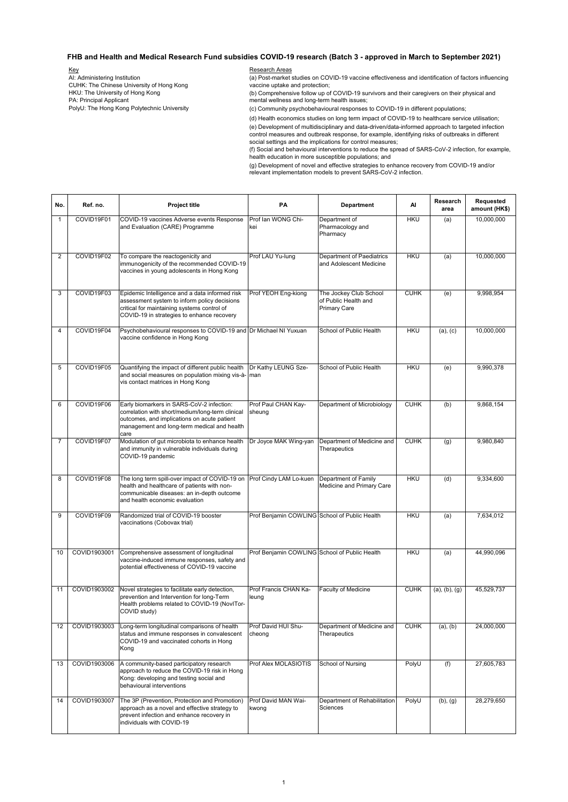## **FHB and Health and Medical Research Fund subsidies COVID-19 research (Batch 3 - approved in March to September 2021)**

 (b) Comprehensive follow up of COVID-19 survivors and their caregivers on their physical and mental wellness and long-term health issues; (d) Health economics studies on long term impact of COVID-19 to healthcare service utilisation; PA: Principal Applicant Key AI: Administering Institution CUHK: The Chinese University of Hong Kong HKU: The University of Hong Kong PolyU: The Hong Kong Polytechnic University Research Areas (a) Post-market studies on COVID-19 vaccine effectiveness and identification of factors influencing vaccine uptake and protection; (c) Community psychobehavioural responses to COVID-19 in different populations;

 control measures and outbreak response, for example, identifying risks of outbreaks in different social settings and the implications for control measures; (e) Development of multidisciplinary and data-driven/data-informed approach to targeted infection

 (f) Social and behavioural interventions to reduce the spread of SARS-CoV-2 infection, for example, health education in more susceptible populations; and

 (g) Development of novel and effective strategies to enhance recovery from COVID-19 and/or relevant implementation models to prevent SARS-CoV-2 infection.

| No.            | Ref. no.     | <b>Project title</b>                                                                                                                                                                                | <b>PA</b>                                     | <b>Department</b>                                                     | Al          | <b>Research</b><br>area | <b>Requested</b><br>amount (HK\$) |
|----------------|--------------|-----------------------------------------------------------------------------------------------------------------------------------------------------------------------------------------------------|-----------------------------------------------|-----------------------------------------------------------------------|-------------|-------------------------|-----------------------------------|
| -1             | COVID19F01   | COVID-19 vaccines Adverse events Response<br>and Evaluation (CARE) Programme                                                                                                                        | Prof Ian WONG Chi-<br>lkei                    | Department of<br>Pharmacology and<br>Pharmacy                         | <b>HKU</b>  | (a)                     | 10,000,000                        |
| 2              | COVID19F02   | To compare the reactogenicity and<br>immunogenicity of the recommended COVID-19<br>vaccines in young adolescents in Hong Kong                                                                       | Prof LAU Yu-lung                              | Department of Paediatrics<br>and Adolescent Medicine                  | <b>HKU</b>  | (a)                     | 10,000,000                        |
| 3              | COVID19F03   | Epidemic Intelligence and a data informed risk<br>assessment system to inform policy decisions<br>critical for maintaining systems control of<br>COVID-19 in strategies to enhance recovery         | Prof YEOH Eng-kiong                           | The Jockey Club School<br>of Public Health and<br><b>Primary Care</b> | <b>CUHK</b> | (e)                     | 9,998,954                         |
| 4              | COVID19F04   | Psychobehavioural responses to COVID-19 and Dr Michael NI Yuxuan<br>vaccine confidence in Hong Kong                                                                                                 |                                               | School of Public Health                                               | <b>HKU</b>  | (a), (c)                | 10,000,000                        |
| 5              | COVID19F05   | Quantifying the impact of different public health<br>and social measures on population mixing vis-à- man<br>vis contact matrices in Hong Kong                                                       | Dr Kathy LEUNG Sze-                           | School of Public Health                                               | <b>HKU</b>  | (e)                     | 9,990,378                         |
| 6              | COVID19F06   | Early biomarkers in SARS-CoV-2 infection:<br>correlation with short/medium/long-term clinical<br>outcomes, and implications on acute patient<br>management and long-term medical and health<br>care | Prof Paul CHAN Kay-<br>sheung                 | Department of Microbiology                                            | <b>CUHK</b> | (b)                     | 9,868,154                         |
| $\overline{7}$ | COVID19F07   | Modulation of gut microbiota to enhance health<br>and immunity in vulnerable individuals during<br>COVID-19 pandemic                                                                                | Dr Joyce MAK Wing-yan                         | Department of Medicine and<br>Therapeutics                            | <b>CUHK</b> | (g)                     | 9,980,840                         |
| 8              | COVID19F08   | The long term spill-over impact of COVID-19 on<br>health and healthcare of patients with non-<br>communicable diseases: an in-depth outcome<br>and health economic evaluation                       | Prof Cindy LAM Lo-kuen                        | Department of Family<br>Medicine and Primary Care                     | <b>HKU</b>  | (d)                     | 9,334,600                         |
| 9              | COVID19F09   | Randomized trial of COVID-19 booster<br>vaccinations (Cobovax trial)                                                                                                                                | Prof Benjamin COWLING School of Public Health |                                                                       | <b>HKU</b>  | (a)                     | 7,634,012                         |
| 10             | COVID1903001 | Comprehensive assessment of longitudinal<br>vaccine-induced immune responses, safety and<br>potential effectiveness of COVID-19 vaccine                                                             | Prof Benjamin COWLING School of Public Health |                                                                       | <b>HKU</b>  | (a)                     | 44,990,096                        |
| 11             | COVID1903002 | Novel strategies to facilitate early detection,<br>prevention and Intervention for long-Term<br>Health problems related to COVID-19 (NovITor-<br>COVID study)                                       | Prof Francis CHAN Ka-<br>leung                | <b>Faculty of Medicine</b>                                            | <b>CUHK</b> | (a), (b), (g)           | 45,529,737                        |
| 12             | COVID1903003 | Long-term longitudinal comparisons of health<br>status and immune responses in convalescent<br>COVID-19 and vaccinated cohorts in Hong<br>Kong                                                      | Prof David HUI Shu-<br>cheong                 | Department of Medicine and<br>Therapeutics                            | <b>CUHK</b> | (a), (b)                | 24,000,000                        |
| 13             | COVID1903006 | A community-based participatory research<br>approach to reduce the COVID-19 risk in Hong<br>Kong: developing and testing social and<br>behavioural interventions                                    | Prof Alex MOLASIOTIS                          | School of Nursing                                                     | PolyU       | (f)                     | 27,605,783                        |
| 14             | COVID1903007 | The 3P (Prevention, Protection and Promotion)<br>approach as a novel and effective strategy to<br>prevent infection and enhance recovery in<br>Individuals with COVID-19                            | Prof David MAN Wai-<br>kwong                  | Department of Rehabilitation<br>Sciences                              | PolyU       | (b), (g)                | 28,279,650                        |